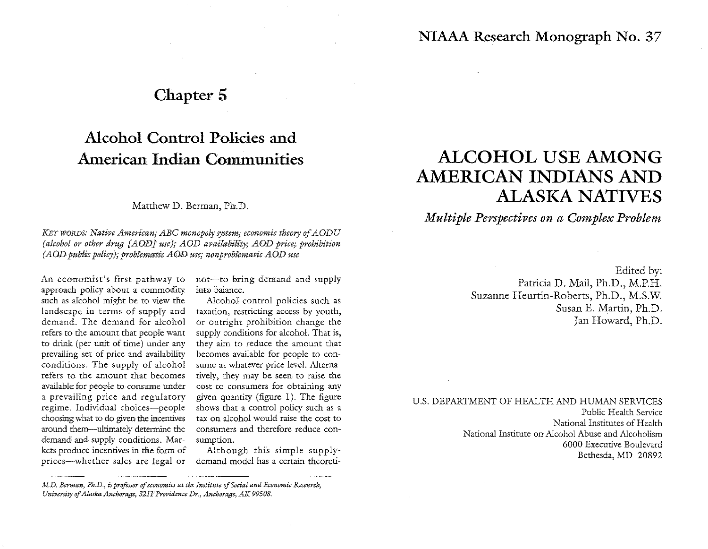### Chapter 5

## Alcohol Control Policies and American Indian Communities

Matthew D. Berman, Ph.D.

*KEY WORDS: Native American; ABC monopoly system; economic theory of AODU (alcohol or other drug [AOD] use)*; *AOD availability; AOD price; prohibition (AOD public policy); prob!ematic A!OD use; non problematic AOD use* 

An economist's first pathway to approach policy about a commodity such as alcohol might be to view the landscape in terms of supply and demand. The demand for alcohol refers to the amount that people want to drink (per unit of time) under any prevailing set of price and availability conditions. The supply of alcohol refers to the amount that becomes available for people to consume under a prevailing price and regulatory regime. Individual choices-people choosing what to do given the incentives around them-ultimately determine the demand and supply conditions. Mar· kets produce incentives in the form of prices-whether sales are legal or not-to bring demand and supply into balance.

Alcohol. control policies such as taxation, restricting access by youth, or outright prohibition change the supply conditions for alcohol. That is, they aim to reduce the amount that becomes available for people to con· sume at whatever price level. Alternatively, they may be seem to raise the cost to consumers for obtaining any given quantity (figure l). The figure shows that a control policy such as a tax on alcohol would raise the cost to consumers and therefore reduce consumption.

Although this simple supply· demand model has a certain theoreti·

# ALCOHOL USE AMONG AMERICAN INDIANS AND ALASKA NATIVES

### *Multiple Perspectives on a Complex Problem*

Edited by: Patricia D. Mail, Ph.D., M.P.H. Suzanne Heurtin-Roberts, Ph.D., M.S.W. Susan E. Martin, Ph.D. Jan Howard, Ph.D.

U.S. DEPARTMENT OF HEALTH AND HUMAN SERVICES Public Health Service National Institutes of Health National Institute on Alcohol Abuse and Alcoholism 6000 Executive Boulevard Bethesda, MD 20892

*M.D. Berman, Ph.D., is professor of economics at the Institute of Social and Economic Research, University of Alaska-Anchorage, 321T Providence Dr., Anchorage, AK 99508.*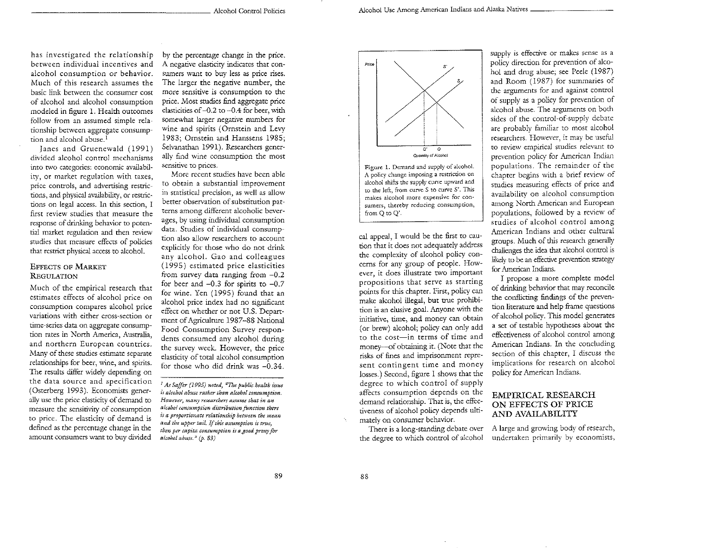has investigated the relationship between individual incen rives and alcohol consumption or behavior. Much of this research assumes the basic link between the consumer cost of alcohol and alcohol consumption modeled in figure 1. Health outcomes follow from an assumed simple relationship between aggregate consumption and alcohol abuse.<sup>1</sup>

Janes and Gruenewald (1991) divided alcohol control mechanisms into two categories: economic availability, or marker regulation with taxes, price controls, and advertising restrictions, and physical availability, or restrictions on legal access. In this section, I first review studies that measure the response of drinking behavior to potential market regulation and then review studies that measure effects of policies that restrict physical access to alcohol.

#### EFFECTS OF MARKET **REGULATION**

Much of the empirical research that estimates effects of alcohol price on consumption compares alcohol price variations with either cross-section or time-series data on aggregate consumption rates in North America, Australia, and northern European countries. Many of these studies estimate separate relationships for beer, wine, and spirits. The results differ widely depending on the data source and specification (Osterberg 1993). Economists generally use the price elasticity of demand to measure the sensitivity of consumption to price. The dasticiry of demand is defined as the percentage change in the amount consumers want to buy divided

by the percentage change in the price. A negative elasticity indicates that consumers want to buy less as price rises. The larger the negative number, the more sensitive is consumption to the price. Most srudies find aggregate price elasticities of -0.2 to -0.4 for beer, with somewhat larger negative numbers for wine and spirits (Ornstein and Levy 1983; Ornstein and Hanssens 1985; Selvanathan 1991). Researchers generally find wine consumption the most sensitive to prices.

More recent studies have been able to obtain a substantial improvement in statistical precision, as well as allow better observation of substitution patterns among different alcoholic beverages, by using individual consumption data. Studies of individual consumption also allow researchers to account explicitly for those who do not drink any alcohol. Gao and colleagues ( 1995) estimated price elasticities from sunrey data ranging from -0.2 for beer and  $-0.3$  for spirits to  $-0.7$ for wine. Yen (1995) found that an alcohol price index had no significant effect on whether or not U.S. Department of Agriculture 1987-88 National Food Consumption Survey respondents consumed any alcohol during the survey week. However, the price elasticity of total alcohol consumption for those who did drink was  $-0.34$ .



A policy chaoge imposing a restriction on alcohol shifts the supply curve upward and to the left, from curve S to curve S'. This makes alcohol more expensive for con· sumers, thereby reducing consumption, from Q to Q'.

cal appeal, I would be the first to caution that ir does not adequately address the complexity of alcohol policy concerns for any group of people. How~ ever, it does illustrate rwo important propositions that serve as starting points for this chapter. First, policy can make alcohol illegal, but true prohibition is an elusive goal. Anyone with the initiative, time, and money can obtain (or brew) alcohol; policy can only add to the cost-in terms of time and money----of obtaining it. (Note that the risks of fines and imprisonment represent contingent time and money losses.) Second, figure 1 shows that the degree to which control of supply affects consumption depends on the demand relationship. That is, the effectiveness of alcohol policy depends ultimately on consumer behavior.

There is a long-standing debate over the degree to which control of alcohol

supply is effective or makes sense as a policy direction for prevention of alcohol and drug abuse; see Peele (1987) and Room (1987) for summaries of the arguments for and against control of supply as a policy for prevention of alcohol abuse. The arguments on both sides of the control-of-supply debate are probably familiar to most alcohol researchers. However, it may be useful to review empirical studies relevant to prevention policy for American Indian populations. The remainder of the chapter begins with a brief review of studies measuring effects of price and availability on alcohol consumption among North American and European populations, followed by a review of studies of alcohol control among American Indians and other cultural groups. Much of this research generally challenges the idea that alcohol control is likely to be an effective prevention strategy for American Indians.

I propose a more complete model of drinking behavior that may reconcile the conflicting findings of the prevention literature and help frame questions of alcohol policy. This model generates a set of testable hypotheses about the effectiveness of alcohol control among American Indians. In the concluding section of this chapter, I discuss the implications for research on alcohol policy for American Indians.

#### EMPIRICAL RESEARCH ON EFFECTS OF PRICE AND AVAlLABILITY

A large and growing body of research, undertaken primarily by economists,

89

<sup>1</sup>*As Saffer (1995) noted, "The public health issue*  is alcohol abuse rather than alcohol consumption. However, many researchers assume that in an *alcohol consumption distribution function there*   $i$ s a proportionate relationship between the mean *and the upper tail. If this assumption is true, then per capita comumption is a good proxy for alcohol abuse*.<sup>2</sup> (p. 83)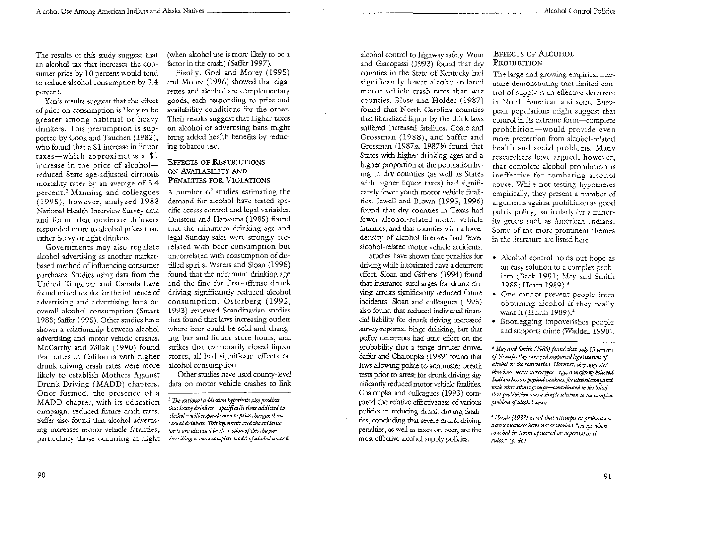The results of this study suggest that an alcohol tax that increases the consumer price by 10 percent would tend to reduce alcohol consumption by 3.4 percent.

Yen's results suggest that the effect of price on consumption is likely to be greater among habitual or heavy drinkers. This presumption is supported by Cook and Tauchen (1982), who found that a \$1 increase in liquor taxes-which approximates a \$1 increase in the price of alcoholreduced State age-adjusted cirrhosis mortality rates by an average of 5.4 percenr. 2 Manning and colleagues (1995), however, analyzed 1983 National Health Interview Survey data and found that moderate drinkers responded more to alcohol prices than either heavy or light drinkers.

Governments may also regulate alcohol advertising as another markerbased method of influencing consumer . purchases. Studies using data from the United Kingdom and Canada have found mixed results for the influence of advertising and advertising bans on overall alcohol consumption (Smart 1988; Saffer 1995). Other studies have shown a relationship between alcohol advertising and motor vehicle crashes. McCarthy and Ziliak (1990) found that cities in California with higher drunk driving crash rates were more likely to establish Mothers Against Drunk Driving (MADD) chapters. Once formed, the presence of a MADD chapter, with its education campaign, reduced furure crash rates. Saffer also found that alcohol advertising increases motor vehicle fatalities, particularly those occurring at night

(when alcohol use is more likely to be a factor in the crash) (Saffer 1997).

Finally, Goel and Morey (1995) and Moore (1996) showed that cigarettes and alcohol are complementary goods, each responding to price and availability conditions for the other. Their results suggest that higher taxes on alcohol or advertising bans might bring added health benefits by reducing tobacco use.

#### **EFFECTS OF RESTRICTIONS** ON AVAILABILITY AND PENALTIES FOR VIOLATIONS

A number of studies estimating the demand for alcohol have tested specific access control and legal variables. Ornstein and Hanssens (1985) found that the minimum drinking age and legal Sunday sales were strongly correlated with beer consumption but uncorrelated with consumption of distilled spirits. Waters and Sloan (1995) found that the minimum drinking age and the fine for first-offense drunk driving significantly reduced alcohol consumption. Osterberg ( 1992, 1993) reviewed Scandinavian studies that found that laws increasing outlets where beer could be sold and changing bar and liquor store hours, and strikes that temporarily dosed liquor stores, all had significant effects on alcohol consumption.

Other studies have used county-level data on motor vehicle crashes to link

alcohol control to highway safety. Wum and Giacopassi (1993) found that dry counties in the State of Kentucky had significantly lower alcohol-related motor vehicle crash rates than wet counties. Blose and Holder (1987) found that North Carolina counties that liberalized liquor-by-the-drink laws suffered increased fatalities. Coate and Grossman (1988), and Saffer and Grossman (1987a, 1987b) found that States with higher drinking ages and a higher proportion of the population living in dry counties (as well as States with higher liquor taxes) had significantly fewer youth motor vehicle fatalities. Jewell and Brown (1995, 1996) found that dry counties in Texas had fewer alcohol-related motor vehicle fatalities, and that counties with a lower density of alcohol licenses had fewer alcohol-related motor vehicle accidents.

Studies have shown that penalties for driving while intoxicated have a deterrent effect. Sloan and Githens (1994) found that insurance surcharges for drunk driving arrests significantly reduced future incidents. Sloan and colleagues (1995) also found that reduced individual financial liability for drunk driving increased survey-reported binge drinking, but that policy deterrents had little effect on the probability that a binge drinker drove. Saffer and Chaloupka (1989) found that laws allowing police to administer breath tests prior to arrest for drunk driving significantly reduced motor vehicle fatalities. Chaloupka and colleagues (1993) compared the relative effectiveness of various policies in reducing drunk driving fatalities, concluding that severe drunk driving penalties, as well as taxes on beer, are the most effective alcohol supply policies.

#### EFFECTS OF ALcOHOL PROHIBITION

The large and growing empirical literarure demonstrating that limited control of supply is an effective deterrem in North American and some European populations might suggest that control in its extreme form-complete prohibition-would provide even more protection from alcohol-related health and social problems. Many researchers have argued, however, that complete alcohol prohibition is ineffective for combating alcohol abuse. While not testing hypotheses empirically, they present a number of arguments against prohibition as good public policy, particularly for a minor*ity* group such as American Indians. Some of the more prominent themes in the literature are listed here:

- Alcohol control holds out hope as an easy solution to a complex problem (Back 1981; May and Smith 1988; Heath 1989). <sup>3</sup>
- One cannot prevent people from obtaining alcohol if they really want it (Heath 1989).<sup>4</sup>
- Bootlegging impoverishes people and supports crime (Waddell 1990).

*3 May and Smith {1988) found that only 19 percent*  of Navajos they surveyed supported legalization of alcohol on the reservation. However, they suggested that inaccurate stereotypes---e.g., a majority believed Indians have a physical weakness for alcohol compared *with other ethnic groups--wntributtd to the belief*  that prohibition was a simple solution to the complex *problem of alcohol abnu.* 

<sup>&</sup>lt;sup>2</sup> The rational addiction hypothesis also predicts that heavy drinkers-specifically those addicted to *a/.:;;;hol-wi!t respond mwe to* price *changes than casual drinkm. This hypothesis and the evidence for it are discussed in the section of* this *chapter*  describing a more complete model of alcohol control.

 $^4$  Heath (1987) noted that attempts at prohibition *across cnlntns have* 1~ever *1vorked "except whm couched in terms of sacred or supernatural rules."' (p. 46)*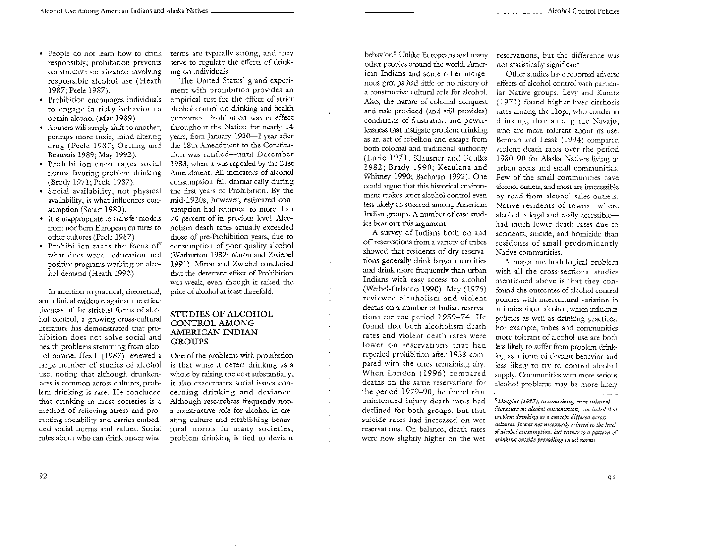- People do not learn how to drink responsibly; prohibition prevents constructive socialization involving responsible alcohol use (Heath 1987; Peele 1987).
- Prohibition encourages individuals to engage in risky behavior to obtain alcohol (May 1989).
- Abusers will simply shift to another, perhaps more toxic, mind-altering drug (Peele 1987; Oetting and Beauvais 1989; May 1992).
- Prohibition encourages social norms favoring problem drinking (Brody 1971; Peele 1987).
- Social availability, not physical availability, is what influences consumption (Smart 1980).
- It is inappropriate to transfer models from northern European cultures to other cultures (Peele 1987).
- Prohibition takes the focus off what does work-education and positive programs working on alcohol demand (Heath 1992).

In addition to practical, theoretical, and clinical evidence against the effectiveness of the strictest forms of alcohol control, a growing cross-cultural literature has demonstrated that prohibition does not solve social and health problems stemming from alcohol misuse. Heath ( 1987) reviewed a large number of studies of alcohol use, noting that although drunkenness is common across cultures, problem drinking is rare. He concluded that drinking in most societies is a method of relieving stress and promoting sociability and carries embedded social norms and values. Social rules about who can drink under what

terms arc typically strong, and they serve to regulate the effects of drinking on individuals.

The United States' grand experiment with prohibition provides an empirical test for the effect of strict alcohol control on drinking and health outcomes. Prohibition was in effect throughout the Nation for nearly 14 vears, from January 1920-1 year after the 18th Amendment to the Constitution was ratified-until December 1933, when it was repealed by the 21st Amendment. All indicators of alcohol consumption fell dramatically during the first years of Prohibition. By the mid-1920s, however, estimated consumption had returned to more than 70 percent of its previous level. Alcoholism death rates actually exceeded those of pre-Prohibition years, due to consumption of poor-quality alcohol (Warburton 1932; Miron and Zwiebel 1991). Nliron and Zwiebel concluded that the deterrent effect of Prohibition was weak, even though it raised the price of alcohol at least threefold.

#### STUDIES OF ALCOHOL CONTROL AMONG AMERICAN INDIAN **GROUPS**

One of the problems with prohibition is that while it deters drinking as a whole by raising the cost substantially, it also exacerbates social issues concerning drinking and deviance. Although researchers frequently note a constructive role for alcohol in creating culture and establishing behavioral norms in many societies, problem drinking is tied to deviant

 $\mathcal{L}^{\mathcal{L}}$  $\mathcal{L}$ 

behavior.<sup>5</sup> Unlike Europeans and many other peoples around the world, American Indians and some other indigenous groups had little or no history of a constructive cultural role for alcohol. Also, the nature of colonial conquest and rule provided (and still provides) conditions of frustration and powerlessness that instigate problem drinking as an act of rebellion and escape from both colonial and traditional authority (Lurie 1971; Klausner and Foulks 1982; Brady 1990; Keaulana and Whimey 1990; Bachman 1992). One could argue that this historical environment makes strict alcohol control even less likely to succeed among American Indian groups. A number of case studies bear out this argument.

A survey of Indians both on and off reservations from a variety of tribes showed that residents of dry reservations generally drink larger quantities and drink more frequently than urban Indians with easy access to alcohol (Weibel-Orlando 1990). May (1976) reviewed alcoholism and violent deaths on a number of Indian reservations for the period 1959-74. He found that both alcoholism death rates and violent death rates were lower on reservations that had repealed prohibition after 1953 com· pared with the ones remaining dry. When Landen (1996) compared deaths on the same reservations for the period 1979-90, he found that unintended injury death rates had declined for both groups, but that suicide rates had increased on wet reservations. On balance, death rates were now slightly higher on the wet

reservations, bur the difference was not statistically significant.

Other studies have reported adverse effects of alcohol control with particular Native groups. Levy and Kunitz ( 1971) found higher liver cirrhosis rates among the Hopi, who condemn drinking, than among the Navajo, who are more tolerant about its use. Berman and Leask ( 1994) compared violent death rates over the period 1980-90 for Alaska Natives living in urban areas and small communities. Few of the small communities have alcohol outlets, and most are inaccessible by road from alcohol sales outlets. Native residents of towns-where alcohol is legal and easily accessiblehad much lower death rates due to accidents, suicide, and homicide than residents of small predominantly Native communities.

A major methodological problem with all the cross-sectional studies mentioned above is that they confound the outcomes of alcohol control policies with intercultural variation in attitudes about alcohol, which influence policies as well as drinking practices. For example, tribes and communities more tolerant of alcohol use are both less likely to suffer from problem drinking as a form of deviant behavior and less likely to try to control alcohol supply. Communities with more serious alcohol problems may be more likely

*5 Douglas* {1987j, *summarizing cross·cultwral literature on a/coho! conmmption, concluded that problem drinking as a concept diJfercd across cultures. It was not necessari£'1 related to the lcvd*  of alcohol consumption, but rather to a pattern of *drinking outside prcvailing social 11orms.*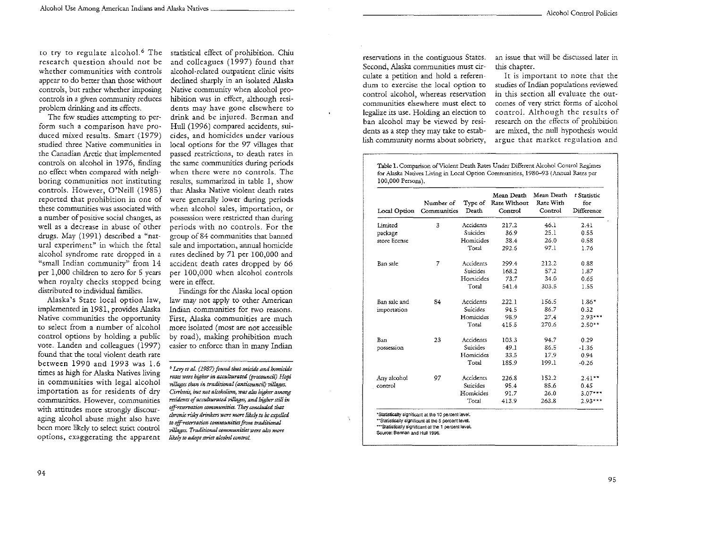to try to regulate alcohol.<sup>6</sup> The statistical effect of prohibition. Chiu research question should not be whether communities with controls appear to do better than those without controls, bur rather whether imposing controls in a given community reduces problem drinking and its effects.

The few studies attempting to perform such a comparison have produced mixed results. Smart (1979) studied three Native communities in the Canadian Arctic that implemented controls on alcohol in 1976, finding no effect when compared with neighboring communities nor instituting controls. However, O'Neill (1985) reported that prohibition in one of these communities was associated with a number of positive social changes, as well as a decrease in abuse of other drugs. May (1991) described a "natural experiment" in which the feral alcohol syndrome rate dropped in a "small Indian community" from 14 per 1,000 children to zero for 5 years when royalty checks stopped being distributed to individual families.

Alaska's Stare local option law, implemented in 1981, provides Alaska Native communities the opportunity to select from a number of alcohol control options by holding a public vote. Landen and colleagues ( 1997) found that the total violent death rare between 1990 and 1993 was 1.6 times as high for Alaska Natives living in communities with legal alcohol importation as for residents of dry communities. However, communities with attitudes more strongly discouraging alcohol abuse might also have been more likely to select strict control options, exaggerating the apparent

and colleagues (1997) found that alcohol-related outpatient clinic visits declined sharply in an isolated Alaska Native community when alcohol prohibition was in effect, although residents may have gone elsewhere to drink and be injured. Berman and Hull (1996) compared accidents, suicides, and homicides under various local options for the 97 villages that passed restrictions, to death rates in the same communities during periods when there were no controls. The results, summarized in table l, show that Alaska Native violent death rates were generally lower during periods when alcohol sales, importation, or possession were restricted than during periods with no controls. For the group of 84 communities that banned sale and importation, annual homicide rates declined by 71 per 100,000 and accident death rates dropped by 66 per 100,000 when alcohol controls were in effect.

Findings for the Alaska local option law may not apply to other American Indian communities for two reasons. First, Alaska communities are much more isolated (most are not accessible by road), making prohibition much easier to enforce than in many Indian

*6 Lcry a* aL (1987) *found that suicide and homicide rates were higher in acculturated (procouncil) Hopi vi/.l.agcs than in traditional (antiC(IUncil) Pillages. Cirrhosis, but not alcoholism, was also higher among*  $r$ esidents of acculturated villages, and higher still in *oifr=rvation wmmunities. They* concluded *that*  cJmmif; risky *drinkers wm mqye likely m be* expd1ed to off-reservation communities from traditional *Fil/.ages. Traditiona/. rommunities were also mare /.ikely to adopt* strict *alcohol cantrol.* 

reservations in the contiguous States. Second, Alaska communities must circulate a petition and hold a referendum to exercise the local option to control alcohol, whereas reservation communities elsewhere must elect to legalize its use. Holding an election to ban alcohol may be viewed by residents as a step they may take to establish community norms about sobriety,

an issue that will be discussed later in this chapter.

It is important to note that the studies of Indian populations reviewed in this section all evaluate the ourcomes of very strict forms of alcohol control. Although the results of research on the effects of prohibition are mixed, the null hypothesis would argue that market regulation and

Table I. Comparison of Violent Death Rates Under Different Alcohol Control Regimes for Alaska Natives Living in Local Option Communities, 1980-93 (Annual Rates per 100,000 Persons).

| Local Option  | Number of<br>Communities | Type of<br>Death | Mean Death<br>Rate Without<br>Control | Mean Death<br>Rate With<br>Control | t Statistic<br>for<br>Difference |
|---------------|--------------------------|------------------|---------------------------------------|------------------------------------|----------------------------------|
| Limited       | 3                        | Accidents        | 217.2                                 | 46.1                               | 2.41                             |
| package       |                          | Suicides         | 36.9                                  | 25.1                               | 0.55                             |
| store license |                          | Homicides        | 38.4                                  | 26.0                               | 0.58                             |
|               |                          | Total            | 292.5                                 | 97.1                               | 1.76                             |
| Ban sale      | 7                        | Accidents        | 299.4                                 | 212.2                              | 0.88                             |
|               |                          | Suicides         | 168.2                                 | 57.2                               | 1.87                             |
|               |                          | Homicides        | 73.7                                  | 34.0                               | 0.65                             |
|               |                          | Total            | 541.4                                 | 303.5                              | 1.55                             |
| Ban sale and  | 84                       | Accidents        | 222.1                                 | 156.5                              | $1.86*$                          |
| importation   |                          | <b>Suicides</b>  | 94.5                                  | 86.7                               | 0.32                             |
|               |                          | Homicides        | 98.9                                  | 27.4                               | $2.93***$                        |
|               |                          | Total            | 415.5                                 | 270.6                              | $2.50**$                         |
| Ban           | 23                       | Accidents        | 103.3                                 | 94.7                               | 0.29                             |
| possession    |                          | Suicides         | 49.1                                  | 86.5                               | $-1.36$                          |
|               |                          | Homicides        | 33.5                                  | 17.9                               | 0.94                             |
|               |                          | Total            | 185.9                                 | 199.1                              | $-0.26$                          |
| Any alcohol   | 97                       | Accidents        | 226.8                                 | 152.2                              | $2.41**$                         |
| control       |                          | Suicides         | 95.4                                  | 85.6                               | 0.45                             |
|               |                          | Homicides        | 91.7                                  | 26.0                               | $3.07***$                        |
|               |                          | Total            | 413.9                                 | 263.8                              | $2.93***$                        |

SOurce: Bennan and Hult 1996.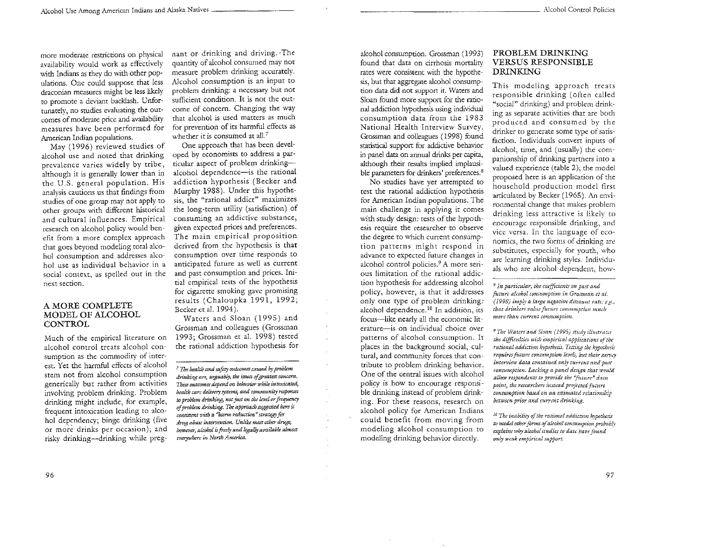more moderate restrictions on physical availability would work as effectively with Indians as they do with other populations. One could suppose that less draconian measures might be less likely to promote a deviant backlash. Unfortunately, no studies evaluating the ourcomes of moderate price and availability measures have been performed for American Indian populations.

May ( 1996) reviewed studies of alcohol use and noted that drinking prevalence varies widely by tribe, although it is generally lower than in the U.S. general population. His analysis cautions us that findings from studies of one group may not apply to other groups with different historical and cultural influences. Empirical research on alcohol policy would benefit from a more complex approach that goes beyond modeling total alcohol consumption and addresses alcohol use as individual behavior in a social context, as spelled out in the next section.

#### A MORE COMPLETE MODEL OF ALCOHOL **CONTROL**

Much of the empirical literature on alcohol control treats alcohol consumption as the commodity of interest. Yet the harmful effects of alcohol stem not from alcohol consumption generically but rather from activities involving problem drinking. Problem drinking might include, for example, frequent intoxication leading to alcohol dependency; binge drinking (five or more drinks per occasion); and risky drinking-drinking while preg-

nant or drinking and driving. ·The quantity of alcohol consumed may not measure problem drinking accurately. Alcohol consumption is an input to problem drinking: a necessary but not sufficient condition. It is not the outcome of concern. Changing the way that alcohol is used matters as much for prevention of its harmful effects as whether it is consumed at all.<sup>7</sup>

One approach that has been developed by economists to address a particular aspect of problem drinkingalcohol dependence-is the rational addiction hypothesis (Becker and Murphy 1988). Under this hypothesis, the «rational addict" maximizes the long-term utility (satisfaction) of consuming an addictive substance, given expected prices and preferences. The main empirical proposition derived from the hypothesis is that consumption over time responds to anticipated future as well as current and past consumption and prices. Initial empirical tests of the hypothesis for cigarette smoking gave promising results (Chaloupka 1991, 1992; Becker et al. 1994).

Waters and Sloan ( 1995) and Grossman and colleagues (Grossman 1993; Grossman et al. 1998) tested the rational addiction hypothesis for

*7 The health and saftty outmmes eausd by problem drinking arc, arguably, the* issues *of greatest amccm. These outcomes depend on behavior while intexicated, health care delivery* .I)'YUmS, *and rommunity responses w problem drinking,* 1Wt just *on the level or frequency of problem drinking. The approach su&Jr:sud hen: is comistent with a* ~arm *reduaion" strategy fur drug abuse intervention. Unlike most other drugs, however, alcohol is freely and legally available almost everywhen: in North America.* 

alcohol conswnption. Grossman ( 1993) found that data on cirrhosis mortality rates were consistent with the hypothesis, bur that aggregate alcohol consumption data did not support it. Waters and Sloan found more support for the rational addiction hypothesis using individual consumption data from the 1983 National Health Interview Survey. Grossman and colleagues (1998) found statistical support for addictive behavior in panel data on annual drinks per capita, although their results implied implausible parameters for drinkers' preferences.<sup>8</sup>

No studies have yet attempted to test the rational addiction hypothesis for American Indian populations. The main challenge in applying it comes with study design: tests of the hypothesis require the researcher to observe the degree to which current consumption patterns might respond in advance to expected future changes in alcohol control policies.9 A more serious limitation of the rational addiction hypothesis for addressing alcohol policy, however, is that it addresses only one type of problem drinking: alcohol dependence. 10 In addition, its focus-like nearly all the economic literature-is on individual choice over patterns of alcohol consumption. It places in the background social, cultural, and community forces that contribute to problem drinking behavior. One of the central issues with alcohol policy is how to encourage responsible drinking instead of problem drinking. For these reasons, research on alcohol policy for American Indians could benefit from moving from modeling alcohol consumption to modeling drinking behavior directly.

#### PROBLEM DRINKING VERSUS RESPONSIBLE DRINKING

This modeling approach treats responsible drinking (often called "social" drinking) and problem drinking as separate activities that are both produced and consumed by the drinker to generate some type of satisfaction. Individuals convert inputs of alcohol, time, and (usually) the companionship of drinking partners into a valued experience (table 2); the model proposed here is an application of the household production model first articulated by Becker (1965). An environmental change that makes problem drinking less attractive is likely to encourage responsible drinking, and vice versa. In the language of economics, the two forms of drinking are substitutes, especially for youth, who are learning drinking styles. Individuals who are alcohol dependent, how-

<sup>H</sup>*In particular, tht rocffidcnts on past and future alcohol consumption in Grossman et al. (1998) imply a large negtuive discoum ratt: e.g., :hat drinfurs palue future consumption mud;*  more than current consumption.

~The *Waters ar1d Slotm {1995) >"tt<dy illn;tmus*  the difficulties with empirical applications of the rational addiction hypothesis. Testing the hypothesis requires future consumption levels, but their survey *interview data contained only current and past conswmption. Lacking a pand design that would allow respondous to provide tht "futurr:" dam point, the researchers imtead proJected future consumption based on an estimated relationship* between prior and current drinking.

*10 The inabitiry of the mtional addiction Jr,pothcS:.s*  to model other forms of alcohol consumption probably *explains why alcohol studies to date have found only weak empirical sztpport.*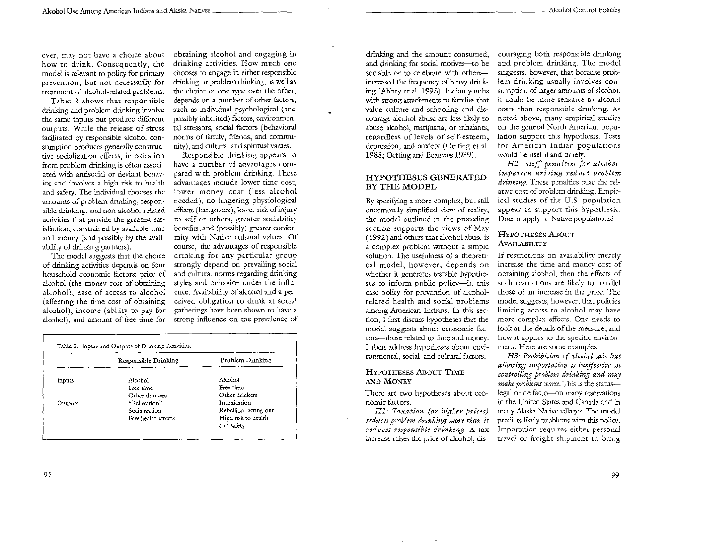ever, may not have a choice about how to drink. Consequently, the model is relevant to policy for primary prevention, but not necessarily for trearment of alcohol-related problems.

Table 2 shows that responsible drinking and problem drinking involve the same inputs but produce different outputs. While the release of stress facilitated by responsible alcohol consumption produces generally constructive socialization effects, intoxication from problem drinking is often associated with antisocial or deviant behavior and involves a high risk to health and safety. The individual chooses the amounts of problem drinking, responsible drinking, and non-alcohol-related activities that provide the greatest satisfaction, constrained by available time and money (and possibly by the availability of drinking partners).

The model suggests that the choice of drinking activities depends on four household economic factors: price of alcohol (the money cost of obtaining alcohol), ease of access to alcohol (affecting the time cost of obtaining alcohol), income (ability to pay for alcohol), and amount of free time for

obtaining alcohol and engaging in drinking activities. How much one chooses to engage in either responsible drinking or problem drinking, as well as the choice of one type over the other, depends on a number of other factors, such as individual psychological (and possibly inherited) factors, environmental stressors, social factors (behavioral norms of family, friends, and community), and cultural and spiritual values.

Responsible drinking appears to have a number of advantages compared with problem drinking. These advantages include lower time cost, lower money cost (less alcohol needed), no lingering physiological effects (hangovers), lower risk of injury to self or others, greater sociability benefits, and (possibly) greater conformity with Native cultural values. Of course, the advantages of responsible drinking for any particular group strongly depend on prevailing social and cultural norms regarding drinking styles and behavior under the influence. Availability of alcohol and a perceived obligation to drink at social gatherings have been shown to have a strong influence on the prevalence of

|         | Responsible Drinking | Problem Drinking                  |
|---------|----------------------|-----------------------------------|
| Inputs  | Alcohol              | Alcohol                           |
|         | Free rime            | Free time.                        |
|         | Other drinkers       | Other drinkers                    |
| Outputs | "Relaxation"         | intoxication                      |
|         | Socialization        | Rebellion, acting out             |
|         | Few health effects   | High risk to health<br>and safety |

drinking and the amount consumed, and drinking for social motives-to be sociable or to celebrate with othersincreased the frequency of heavy drinking (Abbey et al. 1993). Indian youths with strong attachments to families that value culture and schooling and discourage alcohol abuse are less likely to abuse alcohol, marijuana, or inhalants, regardless of levels of self-esteem, depression, and anxiety (Oetting et al. 1988; Oetting and Beauvais 1989).

#### HYPOTHESES GENERATED BY THE MODEL

By specifying a more complex, but still enormously simplified view of reality, the model outlined in the preceding section supports the views of May ( 1992) and others that alcohol abuse is a complex problem without a simple solution. The usefulness of a theoretical model, however, depends on whether it generates testable hypotheses to inform public policy-in this case policy for prevention of alcoholrelated health and social problems among American Indians. In this section, I first discuss hypotheses that the model suggests about economic factors-those related to time and money. I then address hypotheses about environmental, social, and cultural factors.

#### HYPOTHESES ABoUT TIME AND MONEY

There are two hypotheses about economic factors.

*Hl: Taxation (or higher prices) reduces problem drinking more than it reduces responsible drinking.* A tax increase raises the price of alcohol, discouraging both responsible drinking and problem drinking. The model suggests, however, that because problem drinking usually involves consumption of larger amounts of alcohol, it could be more sensitive to alcohol costs than responsible drinking. As noted above, many empirical studies on the general North American population support this hypothesis. Tests for American Indian populations would be useful and timely.

*H2: Stiff penalties for alcoholimpaired driving reduce problem drinking.* These penalties raise the relative cost of problem drinking. Empirical studies of the U.S. population appear to support this hypothesis. Does it apply to Native populations?

#### HYPOTHESES ABOUT AVAILABILITY

If restrictions on availability merely increase the time and money cost of obtaining alcohol, then the effects of such restrictions are likely to parallel those of an increase in the price. The model suggests, however, that policies limiting access to alcohol may have more complex effects. One needs to look at the details of the measure, and how it applies to the specific environment. Here are some examples.

*H3: Prohibition of alcohol sale but allowing importation is ineffective t'n controlling problem drinking and may make problems worse*. This is the statuslegal or de facto--on many reservations in the United States and Canada and in many Alaska Native villages. The model predicts likely problems with this policy. Importation requires either personal travel or freight shipment to bring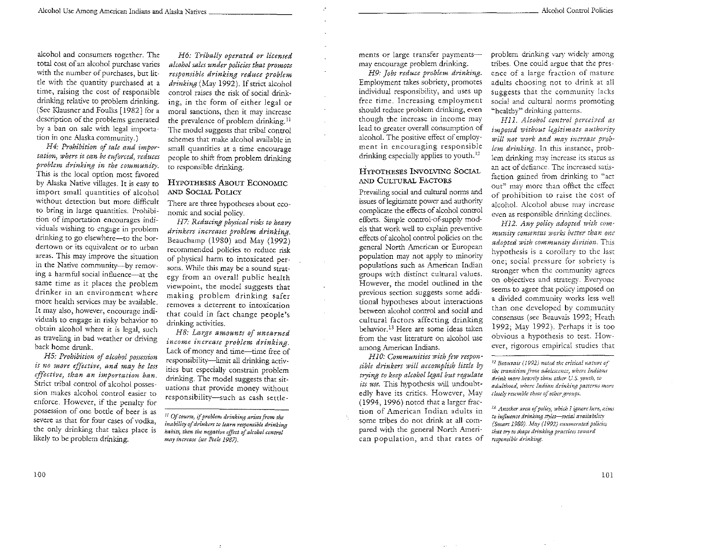alcohol and consumers together. The total cost of an alcohol purchase varies with the number of purchases, but little with the quantity purchased at a time, raising the cost of responsible drinking relative to problem drinking. (See Klausner and Foulks [1982] for a description of the problems generated by a ban on sale with legal importation in one Alaska community.)

*H4: Prohibition of sale and importation) where it can be enforced, reduces problem drinking in the community.* This is the local option most favored by Alaska Native villages. It is easy to import small quantities of alcohol without detection but more difficult to bring in large quantities. Prohibition of importation encourages individuals wishing to engage in problem drinking to go elsewhere-to the bordertown or its equivalent *or* to urban areas. This may improve the situation in the Native community-by removing a harmful social influence-at the same time as it places the problem drinker in an environment where more health services may be available. It may also, however, encourage individuals to engage in risky behavior to obtain alcohol where it is legal, such as traveling in bad weather or driving back home drunk.

*HS: Prohibition of alcohol possession is no more effutive, and may be less effective) than an importation ban.*  Strict tribal control of alcohol possession makes alcohol control easier to enforce. However, if the penalty for possession of one bottle of beer is as severe as that for four cases of vodka, the only drinking that takes place is likely to be problem drinking.

*H6: Tribally operated or licensed alcohol sales under policies that promote responsible drinking reduce problem drinking* (May 1992 ). If strict alcohol control raises the risk of social drinking, in the form of either legal or moral sanctions, then it may increase the prevalence of problem drinking. II The model suggests that tribal control schemes that make alcohol available in small quantities at a time encourage people to shift from problem drinking to responsible drinking.

#### HYPOTHESES ABOUT ECONOMIC AND SociAL POLICY

There are three hypotheses about economic and social policy.

*H7: Reducing physical risks to heavy drinkers increases problem drinking.*  Beauchamp (1980) and May (1992) recommended policies to reduce risk of physical harm to intoxicated persons. While this may be a sound strategy from an overall public health viewpoint, the model suggests that making problem drinking safer removes a deterrent to intoxication that could in fact change people's drinking activities.

*H8: Large amounts of unearned income increase problem drinking.*  Lack of money and time-time free of responsibility-limit all drinking activities but especially constrain problem drinking. The model suggests that situations that provide money without responsibility-such as cash settlements or large transfer paymentsmay encourage problem drinking.

*H9: Jobs reduce problem drinking.*  Employment takes sobriety, promotes individual responsibility, and uses up free time. Increasing employment should reduce problem drinking, even though the increase in income may lead to greater overall consumption of alcohol. The positive effect of employment in encouraging responsible drinking especially applies to youth.<sup>12</sup>

#### HYPOTHESES INVOLVING SOCIAL AND CITITIRAL FACTORS

Prevailing social and cultural norms and issues of legitimate power and authority complicate the effects of alcohol control efforts. Simple control-of-supply models that work well to explain preventive effects of alcohol control policies on the general North American or European population may not apply to minority populations such as American Indian groups with distinct cultural values. However, the model outlined in the previous section suggests some additional hypotheses about interactions between alcohol control and social and cultural factors affecting drinking behavior. 13 Here are some ideas taken from the vast literature on alcohol use among American Indians.

*HlO: Communities with few responsible drinkers will accomplish little by trying to keep alcohol legal but regulate its use.* This hypothesis will undoubtedly have its critics. However, May ( 1994, 1996) noted that a larger fraction of American Indian adults in some tribes do not drink at all compared with the general North American population, and that rates of problem drinking vary widely among tribes. One could argue that the presence of a large fraction of mature adults choosing not to drink at all suggests that the community lacks social and cultural norms promoting "healthy" drinking patterns.

H 11. *Alcohol control perceived as imposed without legitimate authority*  will not work and may increase prob*lern d''inking.* In this instance, problem drinking may increase its status as an act of defiance. The increased satisfaction gained from drinking to "act out" may more than offset the effect of prohibition to raise the cost of alcohol. Alcohol abuse may increase even as responsible drinking declines.

*Hl2. Any policy adopted with commurtity consensus works better than one adopted with community divi)·ion.* This hypothesis is a corollary to the last one; social pressure for sobriety is stronger when the community agrees on objectives and strategy. Everyone seems to agree that policy imposed on a divided community works less well than one developed by community consensus (see Beauvais 1992; Heath 1992; May 1992). Perhaps it is too obvious a hypothesis to test. However, rigorous empirical studies that

<sup>~</sup>*Bumvais ( 1992) noted rhc critical nature vj the transition from adolescence*, where Indians drink more heavily than other U.S. youth, to adulthooa, where Indian drinking passerns more *closely resemble those of other groups.* 

<sup>11</sup>*Of course, zf prabkm drinking arisu from the inability of drinkers to learn responsible drinking habits, then the negative effect of alcohol control may increase (see Pule 1987).* 

<sup>&</sup>lt;sup>13.</sup> Another area of policy, which I ignore here, aims to influence drinking styles-social availability *(Smart 1980). May (1992) emmuratcd policies that* try *to shape drinking practices toward rcsponsiblt: drinking.*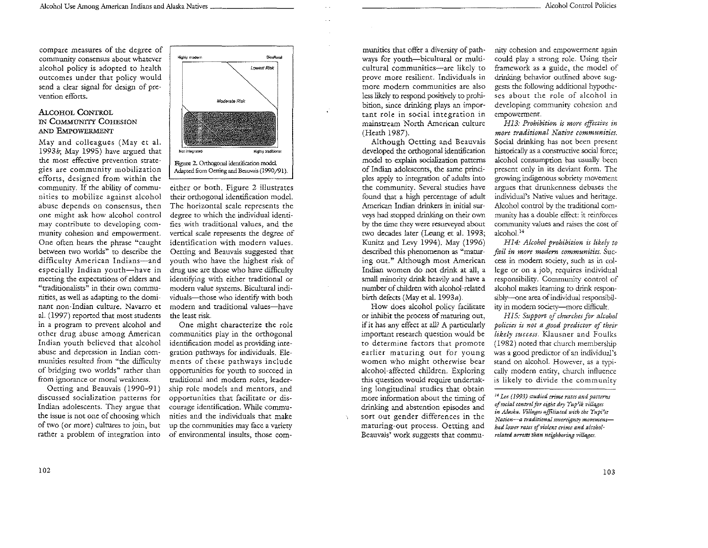compare measures of the degree of community consensus about whatever alcohol policy is adopted to health outcomes under that policy would send a clear signal for design of prevention efforts.

#### ALCOHOL CONTROL IN COMMUNITY COHESION AND EMPOWERMENT

May and colleagues (May et al. 1993b; May 1995) have argued that the most effective prevention strategies are community mobilization efforts, designed from within the community. If the ability of communities to mobilize against alcohol abuse depends on consensus, then one might ask how alcohol control may contribute to developing community cohesion and empowerment. One often hears the phrase "caught between rwo worlds" to describe the difficulty American Indians-and especially Indian youth-have in meeting the expectations of elders and "traditionalists" in their own communities, as well as adapting to the dominant non-Indian culture. Navarro et a!. (1997) reported that most students in a program to prevent alcohol and other drug abuse among American Indian youth believed that alcohol abuse and depression in Indian communities resulted from "the difficulty of bridging two worlds" rather than from ignorance or moral weakness.

Oetting and Beauvais ( 1990-91) discussed socialization patterns for Indian adolescents. They argue that the issue is not one of choosing which of two (or more) cultures to join, bur rather a problem of integration into



Figure 2. Orthogonal identification model. Adapted from Oerring and Beauvais ( 1990/91 ).

either or both. Figure 2 illustrates their orthogonal identification model. The horizontal scale represents the degree to which the individual identifies with traditional values, and the vertical scale represents the degree of identification with modern values. Oetting and Beauvais suggested that youth who have the highest risk of drug use are those who have difficulty identifying with either traditional or modern value systems. Bicultural individuals-those who identify with both modern and traditional values-have the least risk.

One might characterize the role communities play in the orthogonal identification model as providing integration pathways for individuals. Elements of these pathways include opportunities for youth to succeed in traditional and modern roles, leadership role models and mentors, and opportunities that facilitate or discourage identification. While communities and the individuals that make up the communities may face a variety of environmental insults, those com-

munities that offer a diversity of pathways for youth-bicultural or multicultural communities-are likely to prove more resilient. Individuals in more modem communities are also less likely to respond positively to prohibition, since drinking plays an important role in social integration in mainstream North American culture (Heath 1987).

Although Oetting and Beauvais developed the orthogonal identification model to explain socialization patterns of Indian adolescents, the same principles apply to integration of adults into the community. Several studies have found that a high percentage of adult American Indian drinkers in initial surveys had stopped drinking on their own by the time they were resurveyed about two decades later (Leung et al. 1993; Kunitz and Levy 1994). May ( 1996) described this phenomenon as "maturing out." Although most American Indian women do not drink at all, a small minority drink heavily and have a number of children with alcohol-related birth defects (May et al. 1993a).

How does alcohol policy facilitate or inhibit the process of maturing out, if it has any effect at all? A particularly important research question would be to determine factors that promote earlier maturing out for young women who might otherwise bear alcohol-affected children. Exploring this question would require undertaking longitudinal studies that obtain more information about the timing of drinking and abstention episodes and sort our gender differences in the maruring-out process. Oetting and Beauvais' work suggests that commu-

nity cohesion and empowerment again could play a strong role. Using their framework as a guide, the model of drinking behavior outlined above suggests the follovving additional hypotheses about the role of alcohol in developing community cohesion and empowerment.

*H13: Prohibition is more effective in more traditional Native communities.*  Social drinking has not been present historically as a constructive social force; alcohol consumption has usually been present only in its deviant form. The growing indigenous sobriety movement argues that drunkenness debases the individual's Native values and heritage. Alcohol control by the traditional community has a double effect: it reinforces community values and raises the cost of alcohol.<sup>14</sup>

*Hl4: Alcohol prohibition is likely to fail in more modern communities.* Success in modem society, such as in college or on a job, requires individual responsibility. Community control of alcohol makes learning to drink responsibly-one area of individual responsibility in modem sociery-more difficult.

*HIS: Support of churches for alcohol policies is not a good predictor of their likely success.* Klausner and Foulks (1982) noted that church membership was a good predictor of an individual's stand on alcohol. However, as a typi· cally modern entity, church influence is likely to divide the community

<sup>H</sup>*Lu (1993) studied crime rates and patterns of social control for eight dry Yup}ik villages in Alaska. Villages affiliated with the Yupi'it Nation--a traditional sovereignty movement*had lower rates of violent crime and alcohol*related arrests than neighboring villages.*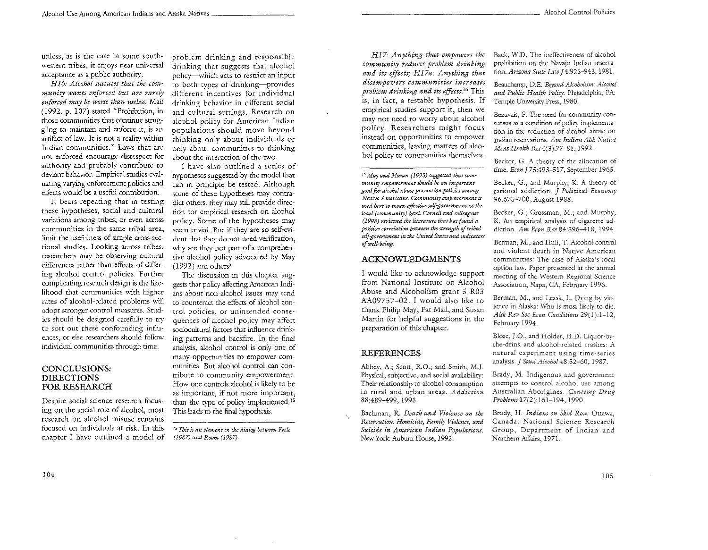unless, as is the case in some southwestern tribes, it enjoys near universal acceptance as a public authority.

H16: Alcohol statutes that the com*munity wants enforced but are rarr:ly enforced may be worse than useless.* Mail (1992, p. 107) stated "Prohibition, in those communities that continue struggling to maintain and enforce it, is an artifact of law. It is not a reality within Indian communities." Laws that are not enforced encourage disrespect for authority and probably contribute to deviant behavior. Empirical studies evaluating varying enforcement policies and effects would be a useful contribution.

It bears repeating that in testing these hypotheses, social and cultural variations among tribes, or even across communities in the same tribal area, limit the usefulness of simple cross-sectional studies. Looking across tribes, researchers may be observing cultural differences rather than effects of differing alcohol control policies. Further complicating research design is the likelihood that communities with higher rates of alcohol-related problems will adopt stronger control measures. Studies should be designed carefully to try to sort out these confounding influences, or else researchers should follow individual communities through time.

#### CONCLUSIONS: DIRECTIONS FOR RESEARCH

Despite social science research focusing on the social role of alcohol, most research on alcohol misuse remains focused on individuals at risk. In this chapter I have outlined a model of

problem drinking and responsible drinking that suggests that alcohol policy~which acts to restrict an input to both types of drinking~provides different incentives for individual drinking behavior in different social and cultural settings. Research on alcohol policy for American Indian populations should move beyond thinking only about individuals or only about communities to thinking about the interaction of the two.

I have also outlined a series of hypotheses suggested by the model that can in principle be tested. Although some of these hypotheses may contradict others, they may still provide direction for empirical research on alcohol policy. Some of the hypotheses may seem trivial. But if they are so self-evident that they do not need verification, why are they not part of a comprehensive alcohol policy advocated by May ( 1992) and others?

The discussion in this chapter suggests thar policy affecting American Indians about non-alcohol issues may tend to counteract the effects of alcohol control policies, or unintended consequences of alcohol policy may affect sociocultural factors that influence drinking patterns and backfire. In the final analysis, alcohol control is only one of many opportunities to empower communities. But alcohol control can contribute to community empowerment. How one controls alcohol is likely to be as important, if not more important, than the type of policy implemented.<sup>15</sup> This leads to the final hypothesis.

*Hl7: Anything that empowers the community reduces problem drinking and its effects; H17a: Anything that disempowers communities increases problem drinking and its effects.*<sup>16</sup> This is, in fact, a testable hypothesis. If empirical studies support it, then we may not need to worry about alcohol policy. Researchers might focus instead on opportunities to empower communities, leaving matters of alcohol policy to communities themselves.

*16 May and Moran (1995) suggesud that cam* $m$ unity empowerment should be an important *goal for a/.cohol abuse prevention policies among Native Amtricam. Community emp(nverment is used here to mean effective sdf"governmcnt at the local (community) level. Cornell and colleagues (1998) reviewed the literature that has found a positive correlation between the strm-gth of tribal*  self-government in the United States and indicators *of w!':ll-being.* 

#### ACKNOWLEDGMENTS

I would like to acknowledge support from National Institute on Alcohol Abuse and Alcoholism grant 5 R03 AA09757-02. I would also like to thank Philip May, Par Mail, and Susan Martin for helpful suggestions in the preparation of this chapter.

#### REFERENCES

Abbey, A.; Scott, R.O.; and Smith, M.J. Physical, subjective, and social availability: Their relationship to alcohol consumption in rural and urban areas. *Addiction*  88:489-499, 1993.

Bachman, R.. *Death and Violence on the Reservation: Homicide, Family Violence, and Suicide in American Indian Populations.*  New York: Auburn House, 1992.

Back, \N.D. The ineffectiveness of alcohol prohibition on the Navajo Indian reservation. *Arizona State Law* J 4:925-943, 1981.

Beauchamp, D. E. *&yond Alcoholism: Alcohol*  and Public Health Policy. Philadelphia, PA: Temple University Press, 1980.

Beauvais, F. The need for conmumity consensus as a condition of policy implementation in the reduction of alcohol abuse on Indian reservations. *Am Indian Alsk Native Ment Health Res* 4(3):77-81, 1992.

Becker, G. A theory of rhe allocation of time. *Econ 175:493-517*, September 1965.

Becker, G., and Murphy, K A theory of rational addiction. J *Political Economy*  96:675-700, August 1988.

Becker, G.; Grossman, M.; and Murphy, K. An empirical analysis of cigarette addiction. *Am Econ Rev* 84:396-418, 1994.

Berman, M., and Hull, T. Alcohol control and violent death in Native American communities: The case of Alaska's local option law. Paper presented at the annual meeting of the Western Regional Science Association, Napa, CA, February 1996.

Berman, M., and Leask, L. Dying by violence in Alaska: Who is most likely to die. *Alsk Rev Soc Econ Conditions* 29( 1 ):1-12, February 1994.

Blose, J.O., and Holder, H.D. Liquor-bythe-drink and alcohol-related crashes: A natural experiment using time-series analysis.] *Stud Alcoho148:52-60,* 1987.

Brady, M. Indigenous and government attempts to control alcohol use among Australian Aborigines. *Contemp Drug Problems* 17(2):161-194, 1990.

Brody, H. *Indians on Skid Row*. Ottawa, Canada: National Science Research Group, Department of Indian and Northern Affairs, 1971.

<sup>&</sup>lt;sup>15</sup> This is an element in the dialog between Peele *(1987) and Room (1987).*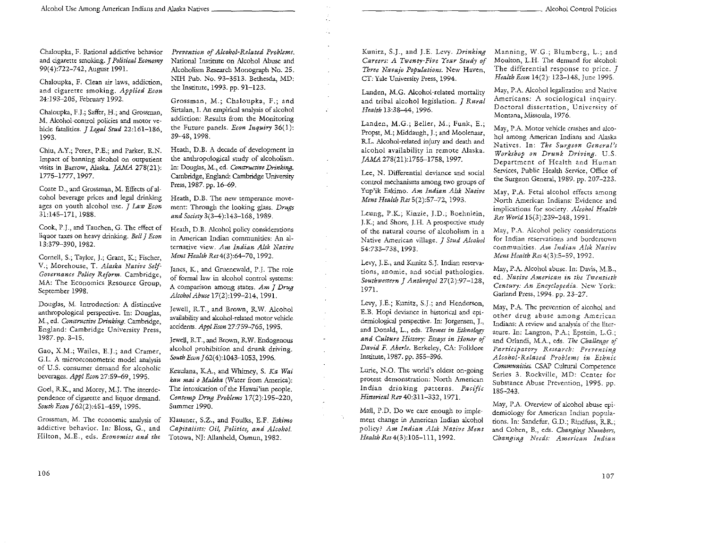Chaloupka, F. Rational addictive behavior and cigarette smoking. *J Political Economy*  99(4):722-742, August 1991.

Chaloupka, F. Clean air laws, addiction, and cigarette smoking. *Applied Econ*  24:193-205, February 1992.

Chaloupka, F.J.; Saffer, H.; and Grossman, M. Alcohol-control policies and motor vehicle fatalities. J *Legal Stud* 22:161-186, 1993.

Chiu, A.Y.; Perez, P.E.; and Parker, R.N. Impact of banning alcohol on outpatient visits in Barrow, Alaska. *]AMA* 278(21): 1775-1777, 1997.

Coate D., and Grossman, M. Effects of alcohol beverage prices and legal drinking ages on youth alcohol use. J *Law Econ*  3U45-171, 1988.

Cook, P.J., and Tauchen, G. The effect of liquor taxes on heavy drinking. *Bell* J *Econ*  13:379-390, 1982.

Cornell, S.; Taylor, J.; Grant, K; Fischer, V.; Morehouse, T. *Alaska Native Self-Governance Policy Reform.* Cambridge, MA: The Economics Resource Group, September 1998.

Douglas, M. Introduction: A distinctive anthropological perspective. In: Douglas, M., ed. *Constructive Drinking.* Cambridge, England: Cambridge University Press, 1987. pp. 3-15.

Gao, X.M.; Wailes, E.J.; and Cramer, G.L. A microeconometric model analysis of U.S. consumer demand for alcoholic beverages. *Appl Econ* 27:59-69, 1995.

God, R.K, and Morey, M.J, The interdependence of cigarette and liquor demand. *South Econ J* 62(2):451-459, 1995.

Grossman, M. The economic analysis of addictive behavior. In: Bloss, G., and Hilton, M.E., eds. *Economics and the* 

*Prevention of Alcohol-Related Problems.*  National Instimte on Alcohol Abuse and Alcoholism Research Monograph No. 25. NIH Pub. No. 93-3513. Bethesda, MD: the Instimte, 1993. pp. 91-123.

Ž,

÷.

Grossman, M.; Chaloupka, F.; and Sirtalan, I. An empirical analysis of alcohol addiction: Results from the Monitoring the Future panels. *Econ Inquiry* 36(1): 39-48, 1998.

Heath, D.B. A decade of development in the anthropological study of alcoholism. In: Douglas, M., ed. *Constructive Drinking.*  Cambridge, England: Cambridge University Press, 1987. pp. 16-69.

Heath, D.B. The new temperance movement: Through the looking glass. *Drugs and Society* 3(3-4):143-168, 1989.

Heath, D.B. Alcohol policy considerations in American Indian communities: An alternative view. *Am Indian Alsk Native Ment Health* Res4(3):64-70, 1992.

Janes, K, and Gruenewald, P.}. The role of formal Jaw in alcohol control systems: A comparison among states. *Am* J *Drug Alcohol Abuse* 17(2):199-214, 1991.

Jewell, R.T., and Brown, R.W. Alcohol availability and alcohol-related motor vehicle accidents. *ApplEcon* 27:759-765, 1995.

Jewell, R.T., and Brown, R.W. Endogenous alcohol prohibition and drunk driving. South Econ  $J$  62(4):1043-1053, 1996.

Keaulana, KA., and Whimey, S. Ka *Wai kau mai o Maleka* (Water from America): The intoxication of the Hawai'ian people. *Contemp Drug Problems* 17(2):195-220, Summer 1990.

Klausner, S.Z., and Foulks, E.F. *Eskimo Capitalists: Oil, Politics, and Alcohol.*  Totowa, NJ: Allanheld, Osmun, 1982.

Kunitz, S.J., and J.E. Levy. *Drinking Careers: A Twenty-Five Year Study of Three Navajo Populations.* New Haven, CT:Yale University Press, 1994.

Landen, M.G. Alcohol-related mortality and tribal alcohol legislation. J *Rural Health* 13:38-44, 1996.

Landen, M.G.; Beller, M.; Funk, E.; Propst, M.; Middaugh, J.; and Moolenaar, R.L. Alcohol-related injury and death and alcohol availability in remote Alaska. IAMA 278(21):1755-1758, 1997.

Lee, N. Differential deviance and social control mechanisms among two groups of Yup'ik Eskimo. *Am Indian Alsk Native Ment Health Res* 5(2):57-72, 1993.

Leung, P.K.; Kinzie, J.D.; Boehnlein, J.K; and Shore, J.H. A prospective study of the natural course of alcoholism in a Native American viUage. J *Stud Alcohol*  54:733-738, 1993.

Levy, J.E., and Kunitz S.J. Indian reservations, anomie, and social pathologies. *Southwestern* J *Anthropol* 27(2):97-128, 1971.

Levy, J.E.; Kunitz, S.J.; and Henderson, E.B. Hopi deviance in historical and epidemiological perspective. In: Jorgensen, J., and Donald, L., eds. *Themes in Ethnology and Culture History: Essays in Honor of David* F. *Aberle.* Berkeley, CA: Folklore Institute, 1987. pp. 355-396.

Lurie, N.O. The world's oldest on-going protest demonstration: North American Indian drinking patterns. *PaciFc Historical Rev* 40:311-332, 1971.

Mail, P.D. Do we care enough to implement change in American Indian alcohol policy? *Am Indian Alsk Native Ment*  Health Res 4(3):105-111, 1992.

Manning, W.G.; Blumberg, L.; and Moulton, L.H. The demand for alcohol: The differential response to price. J *Health Econ* 14(2): 123-148, June 1995.

May, P.A. Alcohol legalization and Native Americans: A sociological inquiry. Doctoral disscrration, University of Montana, Missoula, 1976.

May, P.A. Motor vehicle crashes and alcohol among American Indians and Alaska Natives. In: *The Surgeon General's Workshop on Drunk Driving.* U.S, Department of Health and Human Services, Public Health Service, Office of the Surgeon General, 1989. pp. 207-223.

May, P.A. Fetal alcohol effects among North American Indians: Evidence and implications for society. *Alcohol Health Res World* 15(3):239-248, 1991.

May, P.A. Alcohol policy considerations for Indian reservations and bordcrrown communities. *Am Indian Alsk Native Ment Health* Res4(3):5-59, 1992.

May, P.A. Alcohol abuse. In: Davis, M.B., ed. *Native American in the Twentiah Century: An Encyclopedia.* New York: Garland Press, 1994. pp. 23-27.

May, P.A. The prevention of alcohol and other drug abuse among American Indians: A review and analysis of the literarure. In: Langton, P.A.; Epstein, L.G.; and Orlandi, M.A., eds. *The Challenge of Participatory Research: Preventing Alcohol-Related Problems in Ethnic Communities.* CSAP Culrural Competence Series 3. Rockville, MD: Center for Substance Abuse Prevention, 1995. pp. 185-243.

May, P.A. Overview of alcohol abuse epidemiology for American Indian populations. In: Sandefur, G.D.; Rindfuss, R.R.; and Cohen, B., eds. *Changing Numbers, Changing Needs: American Indian*